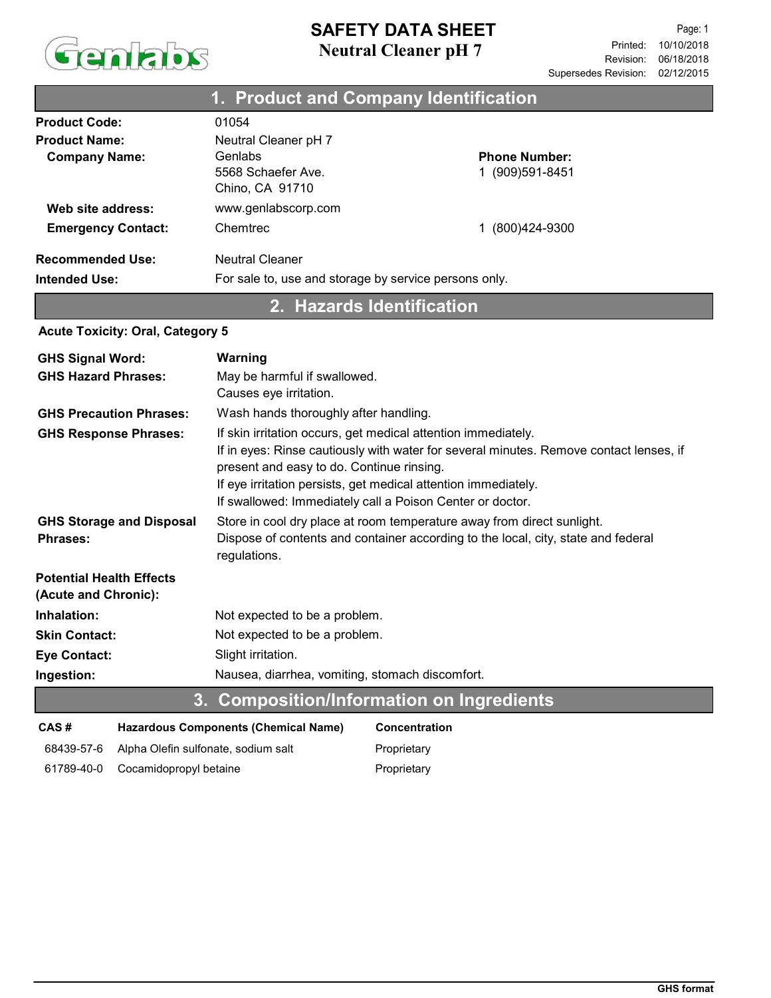

### Neutral Cleaner pH 7 SAFETY DATA SHEET

| 1. Product and Company Identification           |                                                                                 |                                          |  |
|-------------------------------------------------|---------------------------------------------------------------------------------|------------------------------------------|--|
| <b>Product Code:</b>                            | 01054                                                                           |                                          |  |
| <b>Product Name:</b><br><b>Company Name:</b>    | Neutral Cleaner pH 7<br>Genlabs<br>5568 Schaefer Ave.<br>Chino, CA 91710        | <b>Phone Number:</b><br>1 (909) 591-8451 |  |
| Web site address:                               | www.genlabscorp.com                                                             |                                          |  |
| <b>Emergency Contact:</b>                       | Chemtrec                                                                        | (800)424-9300                            |  |
| <b>Recommended Use:</b><br><b>Intended Use:</b> | <b>Neutral Cleaner</b><br>For sale to, use and storage by service persons only. |                                          |  |

# 2. Hazards Identification

#### Acute Toxicity: Oral, Category 5

| <b>GHS Signal Word:</b>         | Warning                                                                                                                             |  |  |  |  |
|---------------------------------|-------------------------------------------------------------------------------------------------------------------------------------|--|--|--|--|
| <b>GHS Hazard Phrases:</b>      | May be harmful if swallowed.                                                                                                        |  |  |  |  |
|                                 | Causes eye irritation.                                                                                                              |  |  |  |  |
| <b>GHS Precaution Phrases:</b>  | Wash hands thoroughly after handling.                                                                                               |  |  |  |  |
| <b>GHS Response Phrases:</b>    | If skin irritation occurs, get medical attention immediately.                                                                       |  |  |  |  |
|                                 | If in eyes: Rinse cautiously with water for several minutes. Remove contact lenses, if<br>present and easy to do. Continue rinsing. |  |  |  |  |
|                                 | If eye irritation persists, get medical attention immediately.                                                                      |  |  |  |  |
|                                 | If swallowed: Immediately call a Poison Center or doctor.                                                                           |  |  |  |  |
| <b>GHS Storage and Disposal</b> | Store in cool dry place at room temperature away from direct sunlight.                                                              |  |  |  |  |
| <b>Phrases:</b>                 | Dispose of contents and container according to the local, city, state and federal<br>regulations.                                   |  |  |  |  |
| <b>Potential Health Effects</b> |                                                                                                                                     |  |  |  |  |
| (Acute and Chronic):            |                                                                                                                                     |  |  |  |  |
| Inhalation:                     | Not expected to be a problem.                                                                                                       |  |  |  |  |
| <b>Skin Contact:</b>            | Not expected to be a problem.                                                                                                       |  |  |  |  |
| <b>Eye Contact:</b>             | Slight irritation.                                                                                                                  |  |  |  |  |
| Ingestion:                      | Nausea, diarrhea, vomiting, stomach discomfort.                                                                                     |  |  |  |  |
|                                 | 3. Composition/Information on Ingredients                                                                                           |  |  |  |  |

| CAS#       | <b>Hazardous Components (Chemical Name)</b> | <b>Concentration</b> |
|------------|---------------------------------------------|----------------------|
| 68439-57-6 | Alpha Olefin sulfonate, sodium salt         | Proprietary          |
|            | 61789-40-0 Cocamidopropyl betaine           | Proprietary          |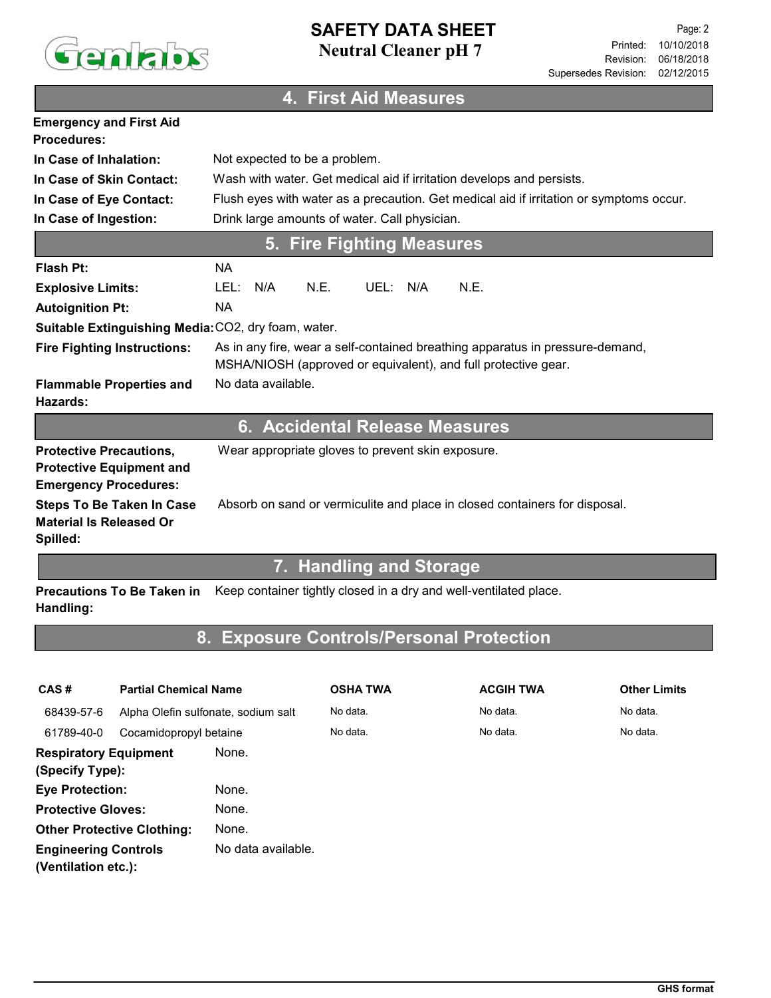

## Neutral Cleaner pH 7 SAFETY DATA SHEET

# 4. First Aid Measures

| <b>Emergency and First Aid</b><br><b>Procedures:</b>                                              |                                                                                                                                                 |  |  |  |
|---------------------------------------------------------------------------------------------------|-------------------------------------------------------------------------------------------------------------------------------------------------|--|--|--|
| In Case of Inhalation:                                                                            | Not expected to be a problem.                                                                                                                   |  |  |  |
| In Case of Skin Contact:                                                                          | Wash with water. Get medical aid if irritation develops and persists.                                                                           |  |  |  |
| In Case of Eye Contact:                                                                           | Flush eyes with water as a precaution. Get medical aid if irritation or symptoms occur.                                                         |  |  |  |
| In Case of Ingestion:                                                                             | Drink large amounts of water. Call physician.                                                                                                   |  |  |  |
|                                                                                                   | 5. Fire Fighting Measures                                                                                                                       |  |  |  |
| Flash Pt:                                                                                         | <b>NA</b>                                                                                                                                       |  |  |  |
| <b>Explosive Limits:</b>                                                                          | N.E.<br>UEL: N/A<br>N.E.<br>LEL:<br>N/A                                                                                                         |  |  |  |
| <b>Autoignition Pt:</b>                                                                           | <b>NA</b>                                                                                                                                       |  |  |  |
| Suitable Extinguishing Media: CO2, dry foam, water.                                               |                                                                                                                                                 |  |  |  |
| <b>Fire Fighting Instructions:</b>                                                                | As in any fire, wear a self-contained breathing apparatus in pressure-demand,<br>MSHA/NIOSH (approved or equivalent), and full protective gear. |  |  |  |
| <b>Flammable Properties and</b><br>Hazards:                                                       | No data available.                                                                                                                              |  |  |  |
|                                                                                                   | 6. Accidental Release Measures                                                                                                                  |  |  |  |
| <b>Protective Precautions,</b><br><b>Protective Equipment and</b><br><b>Emergency Procedures:</b> | Wear appropriate gloves to prevent skin exposure.                                                                                               |  |  |  |
| <b>Steps To Be Taken In Case</b><br><b>Material Is Released Or</b><br>Spilled:                    | Absorb on sand or vermiculite and place in closed containers for disposal.                                                                      |  |  |  |
|                                                                                                   | <b>Production of the Contract of Service</b><br>$\mathbf{L}$                                                                                    |  |  |  |

#### 7. Handling and Storage

Precautions To Be Taken in Keep container tightly closed in a dry and well-ventilated place. Handling:

# 8. Exposure Controls/Personal Protection

| CAS#<br><b>Partial Chemical Name</b>               |                                     | <b>OSHA TWA</b>    | <b>ACGIH TWA</b> | <b>Other Limits</b> |          |
|----------------------------------------------------|-------------------------------------|--------------------|------------------|---------------------|----------|
| 68439-57-6                                         | Alpha Olefin sulfonate, sodium salt |                    | No data.         | No data.            | No data. |
| 61789-40-0                                         | Cocamidopropyl betaine              |                    | No data.         | No data.            | No data. |
| <b>Respiratory Equipment</b><br>(Specify Type):    |                                     | None.              |                  |                     |          |
| <b>Eye Protection:</b>                             |                                     | None.              |                  |                     |          |
| <b>Protective Gloves:</b>                          |                                     | None.              |                  |                     |          |
| <b>Other Protective Clothing:</b>                  |                                     | None.              |                  |                     |          |
| <b>Engineering Controls</b><br>(Ventilation etc.): |                                     | No data available. |                  |                     |          |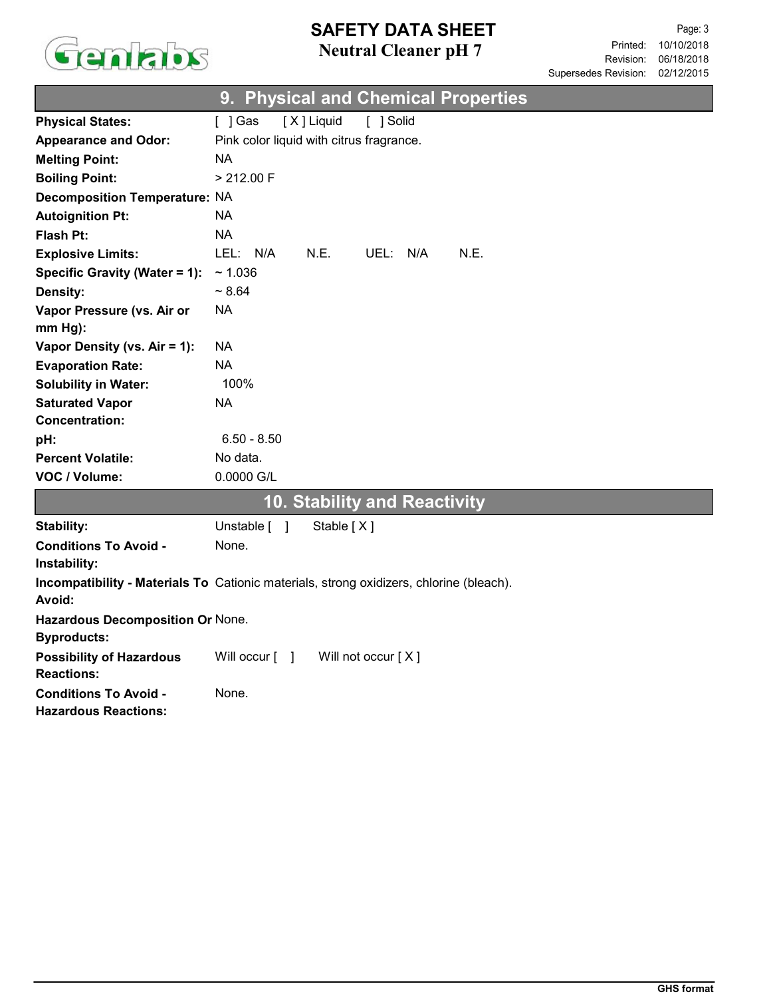

# Neutral Cleaner pH 7 SAFETY DATA SHEET

|                                                             | <b>Physical and Chemical Properties</b><br>9.                                           |
|-------------------------------------------------------------|-----------------------------------------------------------------------------------------|
| <b>Physical States:</b>                                     | [X] Liquid<br>[ ] Solid<br>$[$ ] Gas                                                    |
| <b>Appearance and Odor:</b>                                 | Pink color liquid with citrus fragrance.                                                |
| <b>Melting Point:</b>                                       | <b>NA</b>                                                                               |
| <b>Boiling Point:</b>                                       | > 212.00 F                                                                              |
| <b>Decomposition Temperature: NA</b>                        |                                                                                         |
| <b>Autoignition Pt:</b>                                     | <b>NA</b>                                                                               |
| <b>Flash Pt:</b>                                            | <b>NA</b>                                                                               |
| <b>Explosive Limits:</b>                                    | LEL:<br>N/A<br>N.E.<br>UEL: N/A<br>N.E.                                                 |
| Specific Gravity (Water = 1):                               | ~1.036                                                                                  |
| <b>Density:</b>                                             | $~1$ 8.64                                                                               |
| Vapor Pressure (vs. Air or                                  | <b>NA</b>                                                                               |
| mm Hg):                                                     |                                                                                         |
| Vapor Density (vs. Air = 1):                                | NA.                                                                                     |
| <b>Evaporation Rate:</b>                                    | <b>NA</b>                                                                               |
| <b>Solubility in Water:</b>                                 | 100%                                                                                    |
| <b>Saturated Vapor</b>                                      | <b>NA</b>                                                                               |
| <b>Concentration:</b>                                       |                                                                                         |
| pH:                                                         | $6.50 - 8.50$                                                                           |
| <b>Percent Volatile:</b>                                    | No data.                                                                                |
| VOC / Volume:                                               | 0.0000 G/L                                                                              |
|                                                             | <b>10. Stability and Reactivity</b>                                                     |
| Stability:                                                  | Unstable [ ]<br>Stable [X]                                                              |
| <b>Conditions To Avoid -</b>                                | None.                                                                                   |
| Instability:                                                |                                                                                         |
|                                                             | Incompatibility - Materials To Cationic materials, strong oxidizers, chlorine (bleach). |
| Avoid:                                                      |                                                                                         |
| Hazardous Decomposition Or None.<br><b>Byproducts:</b>      |                                                                                         |
| <b>Possibility of Hazardous</b><br><b>Reactions:</b>        | Will occur [ ]<br>Will not occur [X]                                                    |
| <b>Conditions To Avoid -</b><br><b>Hazardous Reactions:</b> | None.                                                                                   |